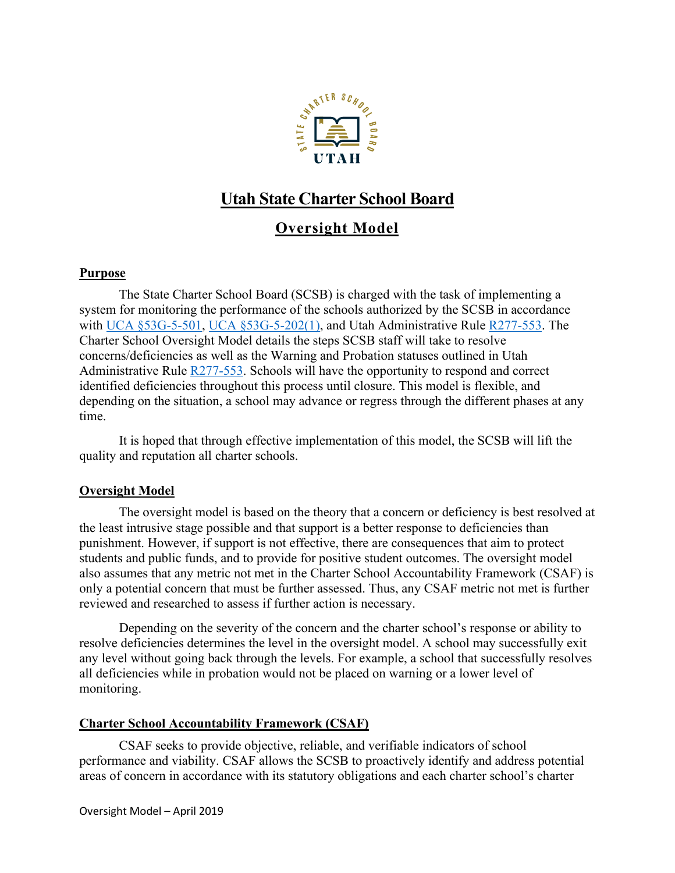

## **Utah State Charter School Board**

## **Oversight Model**

### **Purpose**

The State Charter School Board (SCSB) is charged with the task of implementing a system for monitoring the performance of the schools authorized by the SCSB in accordance with [UCA §53G-5-501,](https://le.utah.gov/xcode/Title53G/Chapter5/53G-5-S501.html?v=C53G-5-S501_2018012420180124) [UCA §53G-5-202\(1\),](https://le.utah.gov/xcode/Title53G/Chapter5/53G-5-S202.html?v=C53G-5-S202_2018012420180124) and Utah Administrative Rule [R277-553.](https://rules.utah.gov/publicat/code/r277/r277-481.htm) The Charter School Oversight Model details the steps SCSB staff will take to resolve concerns/deficiencies as well as the Warning and Probation statuses outlined in Utah Administrative Rule [R277-553.](https://rules.utah.gov/publicat/code/r277/r277-481.htm) Schools will have the opportunity to respond and correct identified deficiencies throughout this process until closure. This model is flexible, and depending on the situation, a school may advance or regress through the different phases at any time.

It is hoped that through effective implementation of this model, the SCSB will lift the quality and reputation all charter schools.

### **Oversight Model**

The oversight model is based on the theory that a concern or deficiency is best resolved at the least intrusive stage possible and that support is a better response to deficiencies than punishment. However, if support is not effective, there are consequences that aim to protect students and public funds, and to provide for positive student outcomes. The oversight model also assumes that any metric not met in the Charter School Accountability Framework (CSAF) is only a potential concern that must be further assessed. Thus, any CSAF metric not met is further reviewed and researched to assess if further action is necessary.

Depending on the severity of the concern and the charter school's response or ability to resolve deficiencies determines the level in the oversight model. A school may successfully exit any level without going back through the levels. For example, a school that successfully resolves all deficiencies while in probation would not be placed on warning or a lower level of monitoring.

### **Charter School Accountability Framework (CSAF)**

CSAF seeks to provide objective, reliable, and verifiable indicators of school performance and viability. CSAF allows the SCSB to proactively identify and address potential areas of concern in accordance with its statutory obligations and each charter school's charter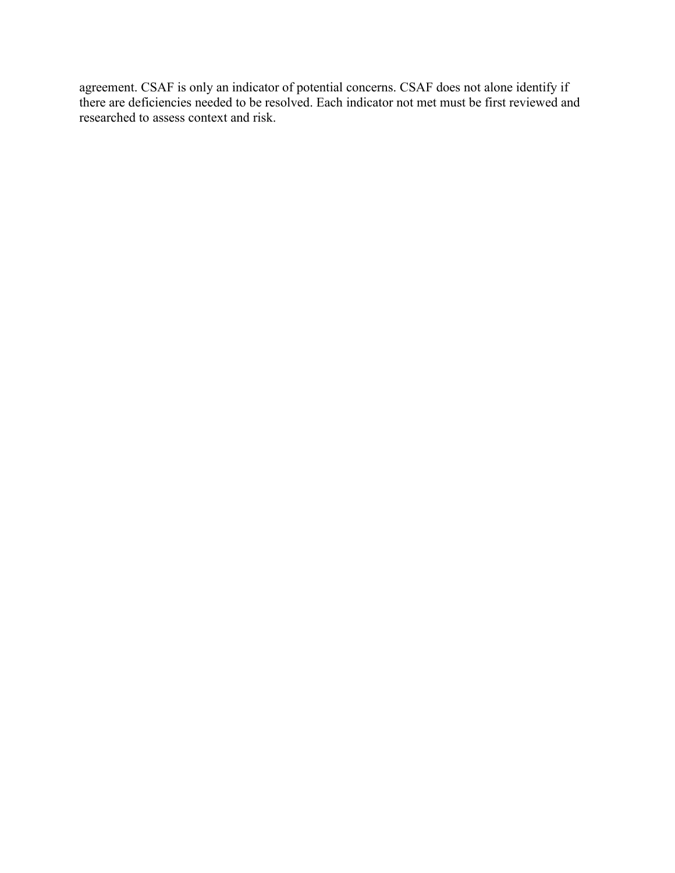agreement. CSAF is only an indicator of potential concerns. CSAF does not alone identify if there are deficiencies needed to be resolved. Each indicator not met must be first reviewed and researched to assess context and risk.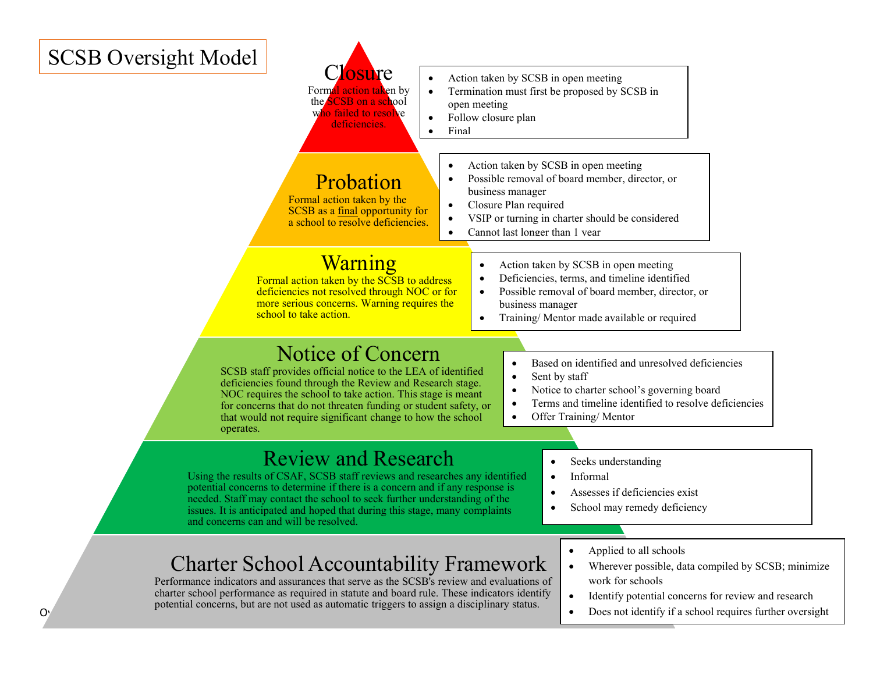# SCSB Oversight Model